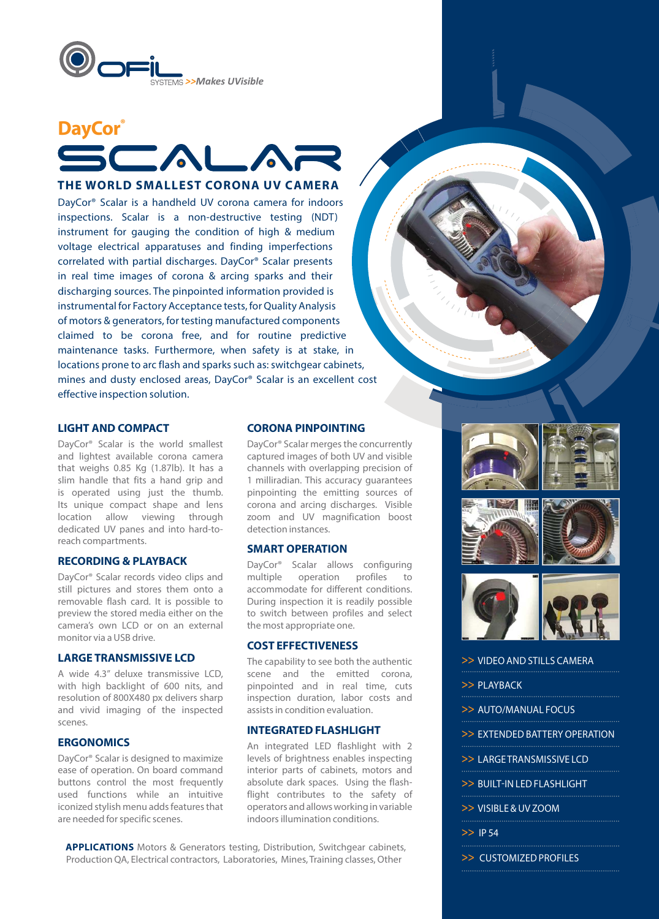



## **THE WORLD SMALLEST CORONA UV CAMERA**

DayCor® Scalar is a handheld UV corona camera for indoors inspections. Scalar is a non-destructive testing (NDT) instrument for gauging the condition of high & medium voltage electrical apparatuses and finding imperfections correlated with partial discharges. DayCor® Scalar presents in real time images of corona & arcing sparks and their discharging sources. The pinpointed information provided is instrumental for Factory Acceptance tests, for Quality Analysis of motors & generators, for testing manufactured components claimed to be corona free, and for routine predictive maintenance tasks. Furthermore, when safety is at stake, in locations prone to arc flash and sparks such as: switchgear cabinets, mines and dusty enclosed areas, DayCor® Scalar is an excellent cost effective inspection solution.

## **LIGHT AND COMPACT**

DayCor® Scalar is the world smallest and lightest available corona camera that weighs 0.85 Kg (1.87lb). It has a slim handle that fits a hand grip and is operated using just the thumb. Its unique compact shape and lens location allow viewing through dedicated UV panes and into hard-toreach compartments.

## **RECORDING & PLAYBACK**

DayCor® Scalar records video clips and still pictures and stores them onto a removable flash card. It is possible to preview the stored media either on the camera's own LCD or on an external monitor via a USB drive.

## **LARGE TRANSMISSIVE LCD**

A wide 4.3" deluxe transmissive LCD, with high backlight of 600 nits, and resolution of 800X480 px delivers sharp and vivid imaging of the inspected scenes.

## **ERGONOMICS**

DayCor® Scalar is designed to maximize ease of operation. On board command buttons control the most frequently used functions while an intuitive iconized stylish menu adds features that are needed for specific scenes.

#### **CORONA PINPOINTING**

DayCor® Scalar merges the concurrently captured images of both UV and visible channels with overlapping precision of 1 milliradian. This accuracy guarantees pinpointing the emitting sources of corona and arcing discharges. Visible zoom and UV magnification boost detection instances.

## **SMART OPERATION**

DayCor® Scalar allows configuring multiple operation profiles to accommodate for different conditions. During inspection it is readily possible to switch between profiles and select the most appropriate one.

#### **COST EFFECTIVENESS**

The capability to see both the authentic scene and the emitted corona, pinpointed and in real time, cuts inspection duration, labor costs and assists in condition evaluation.

## **INTEGRATED FLASHLIGHT**

An integrated LED flashlight with 2 levels of brightness enables inspecting interior parts of cabinets, motors and absolute dark spaces. Using the flashflight contributes to the safety of operators and allows working in variable indoors illumination conditions.

**APPLICATIONS** Motors & Generators testing, Distribution, Switchgear cabinets, Production QA, Electrical contractors, Laboratories, Mines, Training classes, Other







- >> VIDEO AND STILLS CAMERA
- >> PLAYBACK
- >> AUTO/MANUAL FOCUS
- >> EXTENDED BATTERY OPERATION
- >> LARGE TRANSMISSIVE LCD
- >> BUILT-IN LED FLASHLIGHT
- >> VISIBLE & UV ZOOM
- >> IP 54
	-
- >> CUSTOMIZED PROFILES